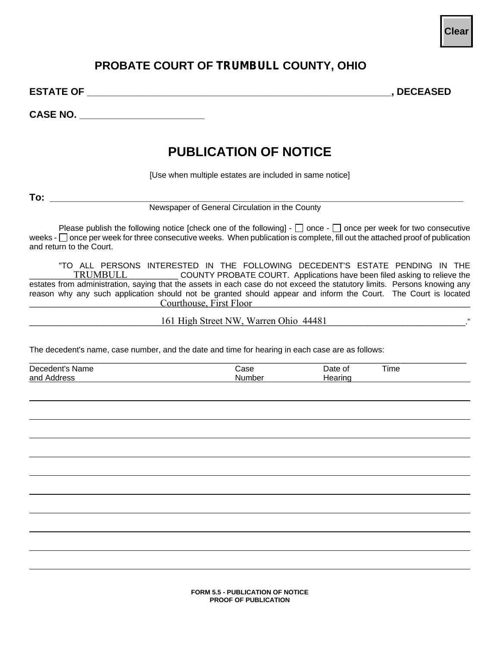## **PROBATE COURT OF TRUMBULL COUNTY, OHIO**

**ESTATE OF \_\_\_\_\_\_\_\_\_\_\_\_\_\_\_\_\_\_\_\_\_\_\_\_\_\_\_\_\_\_\_\_\_\_\_\_\_\_\_\_\_\_\_\_\_\_\_\_\_\_\_\_\_\_\_\_, DECEASED** 

**CASE NO. \_\_\_\_\_\_\_\_\_\_\_\_\_\_\_\_\_\_\_\_\_\_\_** 

## **PUBLICATION OF NOTICE**

[Use when multiple estates are included in same notice]

**To: \_\_\_\_\_\_\_\_\_\_\_\_\_\_\_\_\_\_\_\_\_\_\_\_\_\_\_\_\_\_\_\_\_\_\_\_\_\_\_\_\_\_\_\_\_\_\_\_\_\_\_\_\_\_\_\_\_\_\_\_\_\_\_\_\_\_\_\_\_\_\_\_\_\_\_\_** 

 $\overline{a}$ 

Newspaper of General Circulation in the County

Please publish the following notice [check one of the following] -  $\Box$  once -  $\Box$  once per week for two consecutive weeks  $-\Box$  once per week for three consecutive weeks. When publication is complete, fill out the attached proof of publication and return to the Court.

"TO ALL PERSONS INTERESTED IN THE FOLLOWING DECEDENT'S ESTATE PENDING IN THE TRUMBULL COUNTY PROBATE COURT. Applications have been filed asking to relieve the estates from administration, saying that the assets in each case do not exceed the statutory limits. Persons knowing any reason why any such application should not be granted should appear and inform the Court. The Court is located \_\_\_\_\_\_\_\_\_\_\_\_\_\_\_\_\_\_\_\_\_\_\_\_\_\_\_\_\_\_\_\_\_\_\_\_\_\_\_\_\_\_\_\_\_\_\_\_\_\_\_\_\_\_\_\_\_\_\_\_\_\_\_\_\_\_\_\_\_\_\_\_\_\_\_\_\_\_\_\_\_\_\_\_\_\_\_\_\_\_\_\_\_\_\_\_\_\_ Courthouse, First Floor

\_\_\_\_\_\_\_\_\_\_\_\_\_\_\_\_\_\_\_\_\_\_\_\_\_\_\_\_\_\_\_\_\_\_\_\_\_\_\_\_\_\_\_\_\_\_\_\_\_\_\_\_\_\_\_\_\_\_\_\_\_\_\_\_\_\_\_\_\_\_\_\_\_\_\_\_\_\_\_\_\_\_\_\_\_\_\_\_\_\_\_\_\_\_\_\_\_." 161 High Street NW, Warren Ohio 44481

The decedent's name, case number, and the date and time for hearing in each case are as follows:

| Decedent's Name | ڪase   | )ate of | --<br>⊺ime |  |
|-----------------|--------|---------|------------|--|
| and Address     | Number | Hearinc |            |  |
|                 |        |         |            |  |